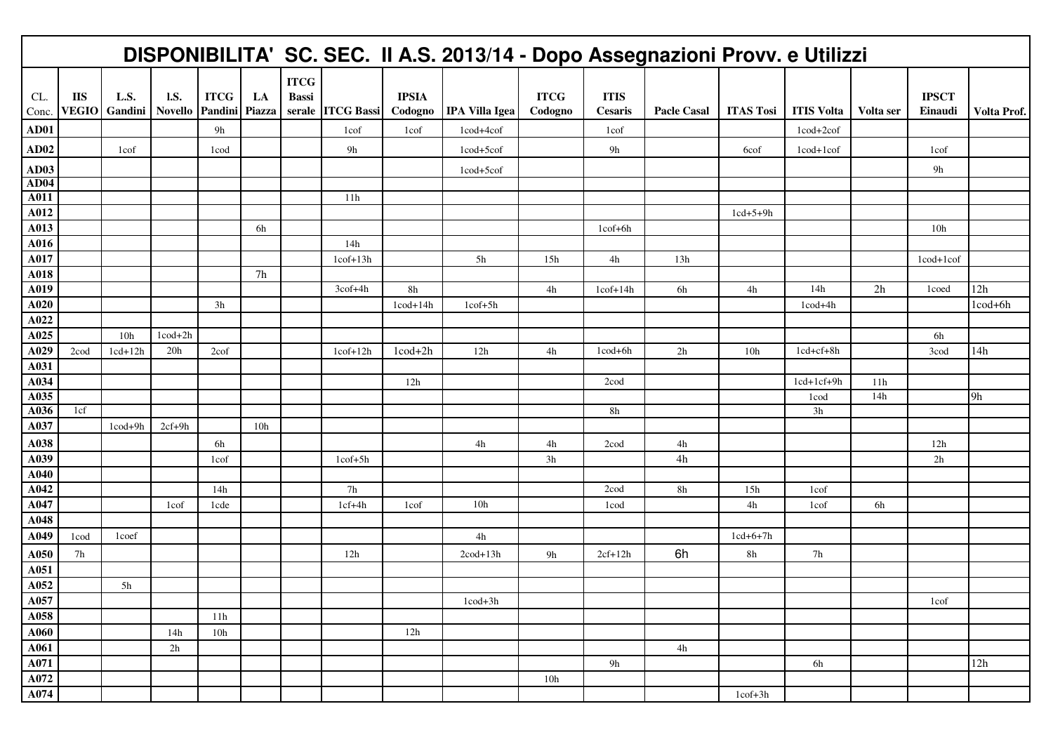|              |                            |                 |                               |                        |              |                             |                          |                          | DISPONIBILITA' SC. SEC. II A.S. 2013/14 - Dopo Assegnazioni Provv. e Utilizzi |                        |                          |                    |                  |                   |           |                         |             |
|--------------|----------------------------|-----------------|-------------------------------|------------------------|--------------|-----------------------------|--------------------------|--------------------------|-------------------------------------------------------------------------------|------------------------|--------------------------|--------------------|------------------|-------------------|-----------|-------------------------|-------------|
| CL.<br>Conc. | <b>IIS</b><br><b>VEGIO</b> | L.S.<br>Gandini | <b>I.S.</b><br><b>Novello</b> | <b>ITCG</b><br>Pandini | LA<br>Piazza | <b>ITCG</b><br><b>Bassi</b> | serale ITCG Bassi        | <b>IPSIA</b><br>Codogno  | <b>IPA Villa Igea</b>                                                         | <b>ITCG</b><br>Codogno | <b>ITIS</b><br>Cesaris   | <b>Pacle Casal</b> | <b>ITAS Tosi</b> | <b>ITIS Volta</b> | Volta ser | <b>IPSCT</b><br>Einaudi | Volta Prof. |
| AD01         |                            |                 |                               | 9h                     |              |                             | 1cof                     | 1cof                     | 1cod+4cof                                                                     |                        | 1cof                     |                    |                  | 1cod+2cof         |           |                         |             |
| AD02         |                            | 1cof            |                               | 1cod                   |              |                             | 9h                       |                          | 1cod+5cof                                                                     |                        | 9h                       |                    | 6cof             | 1cod+1cof         |           | 1cof                    |             |
| <b>AD03</b>  |                            |                 |                               |                        |              |                             |                          |                          | 1cod+5cof                                                                     |                        |                          |                    |                  |                   |           | 9h                      |             |
| <b>AD04</b>  |                            |                 |                               |                        |              |                             |                          |                          |                                                                               |                        |                          |                    |                  |                   |           |                         |             |
| A011         |                            |                 |                               |                        |              |                             | 11h                      |                          |                                                                               |                        |                          |                    |                  |                   |           |                         |             |
| A012         |                            |                 |                               |                        |              |                             |                          |                          |                                                                               |                        |                          |                    | $1cd+5+9h$       |                   |           |                         |             |
| A013         |                            |                 |                               |                        | 6h           |                             |                          |                          |                                                                               |                        | $1\text{cof+6h}$         |                    |                  |                   |           | 10 <sub>h</sub>         |             |
| A016         |                            |                 |                               |                        |              |                             | 14h                      |                          |                                                                               |                        |                          |                    |                  |                   |           |                         |             |
| A017         |                            |                 |                               |                        |              |                             | $1\text{cof}+13\text{h}$ |                          | 5h                                                                            | 15h                    | 4h                       | 13h                |                  |                   |           | 1cod+1cof               |             |
| A018         |                            |                 |                               |                        | 7h           |                             |                          |                          |                                                                               |                        |                          |                    |                  |                   |           |                         |             |
| A019         |                            |                 |                               |                        |              |                             | 3cof+4h                  | $8\mathrm{h}$            |                                                                               | 4h                     | $1\text{cof}+14\text{h}$ | 6h                 | 4h               | 14h               | 2h        | 1coed                   | 12h         |
| A020         |                            |                 |                               | 3h                     |              |                             |                          | $1\text{cod}+14\text{h}$ | $1cof+5h$                                                                     |                        |                          |                    |                  | $1\text{cod}+4h$  |           |                         | 1cod+6h     |
| A022         |                            |                 |                               |                        |              |                             |                          |                          |                                                                               |                        |                          |                    |                  |                   |           |                         |             |
| A025         |                            | 10 <sub>h</sub> | $1\text{cod}+2h$              |                        |              |                             |                          |                          |                                                                               |                        |                          |                    |                  |                   |           | 6h                      |             |
| A029<br>A031 | 2cod                       | $1cd+12h$       | 20h                           | $2\cot$                |              |                             | $1\mathrm{cof+12h}$      | $1\text{cod}+2h$         | 12h                                                                           | 4h                     | $1\text{cod}+6h$         | 2h                 | 10h              | 1cd+cf+8h         |           | 3cod                    | 14h         |
| A034         |                            |                 |                               |                        |              |                             |                          | 12h                      |                                                                               |                        | 2cod                     |                    |                  | $1cd+1cf+9h$      | 11h       |                         |             |
| A035         |                            |                 |                               |                        |              |                             |                          |                          |                                                                               |                        |                          |                    |                  | 1 <sub>cod</sub>  | 14h       |                         | 9h          |
| A036         | 1cf                        |                 |                               |                        |              |                             |                          |                          |                                                                               |                        | 8h                       |                    |                  | 3h                |           |                         |             |
| A037         |                            | 1cod+9h         | $2cf+9h$                      |                        | 10h          |                             |                          |                          |                                                                               |                        |                          |                    |                  |                   |           |                         |             |
| A038         |                            |                 |                               | 6h                     |              |                             |                          |                          | $4\mathrm{h}$                                                                 | 4h                     | 2cod                     | 4h                 |                  |                   |           | 12h                     |             |
| A039         |                            |                 |                               | 1cof                   |              |                             | $1\text{cof+}5h$         |                          |                                                                               | 3h                     |                          | 4h                 |                  |                   |           | 2h                      |             |
| A040         |                            |                 |                               |                        |              |                             |                          |                          |                                                                               |                        |                          |                    |                  |                   |           |                         |             |
| A042         |                            |                 |                               | 14h                    |              |                             | 7h                       |                          |                                                                               |                        | 2cod                     | 8h                 | 15h              | 1cof              |           |                         |             |
| A047         |                            |                 | 1cof                          | 1cde                   |              |                             | $1cf+4h$                 | 1cof                     | 10h                                                                           |                        | 1cod                     |                    | 4h               | 1cof              | 6h        |                         |             |
| A048         |                            |                 |                               |                        |              |                             |                          |                          |                                                                               |                        |                          |                    |                  |                   |           |                         |             |
| A049         | 1cod                       | 1coef           |                               |                        |              |                             |                          |                          | 4h                                                                            |                        |                          |                    | $1cd+6+7h$       |                   |           |                         |             |
| A050         | 7h                         |                 |                               |                        |              |                             | 12h                      |                          | $2cod+13h$                                                                    | 9h                     | $2cf+12h$                | 6h                 | 8h               | 7h                |           |                         |             |
| A051         |                            |                 |                               |                        |              |                             |                          |                          |                                                                               |                        |                          |                    |                  |                   |           |                         |             |
| A052         |                            | 5h              |                               |                        |              |                             |                          |                          |                                                                               |                        |                          |                    |                  |                   |           |                         |             |
| A057         |                            |                 |                               |                        |              |                             |                          |                          | $1\text{cod}+3h$                                                              |                        |                          |                    |                  |                   |           | 1cof                    |             |
| A058         |                            |                 |                               | 11h                    |              |                             |                          |                          |                                                                               |                        |                          |                    |                  |                   |           |                         |             |
| A060         |                            |                 | 14h                           | 10h                    |              |                             |                          | 12h                      |                                                                               |                        |                          |                    |                  |                   |           |                         |             |
| A061         |                            |                 | 2h                            |                        |              |                             |                          |                          |                                                                               |                        |                          | 4h                 |                  |                   |           |                         |             |
| A071         |                            |                 |                               |                        |              |                             |                          |                          |                                                                               |                        | 9h                       |                    |                  | 6h                |           |                         | 12h         |
| A072         |                            |                 |                               |                        |              |                             |                          |                          |                                                                               | 10h                    |                          |                    |                  |                   |           |                         |             |
| A074         |                            |                 |                               |                        |              |                             |                          |                          |                                                                               |                        |                          |                    | $1cof+3h$        |                   |           |                         |             |